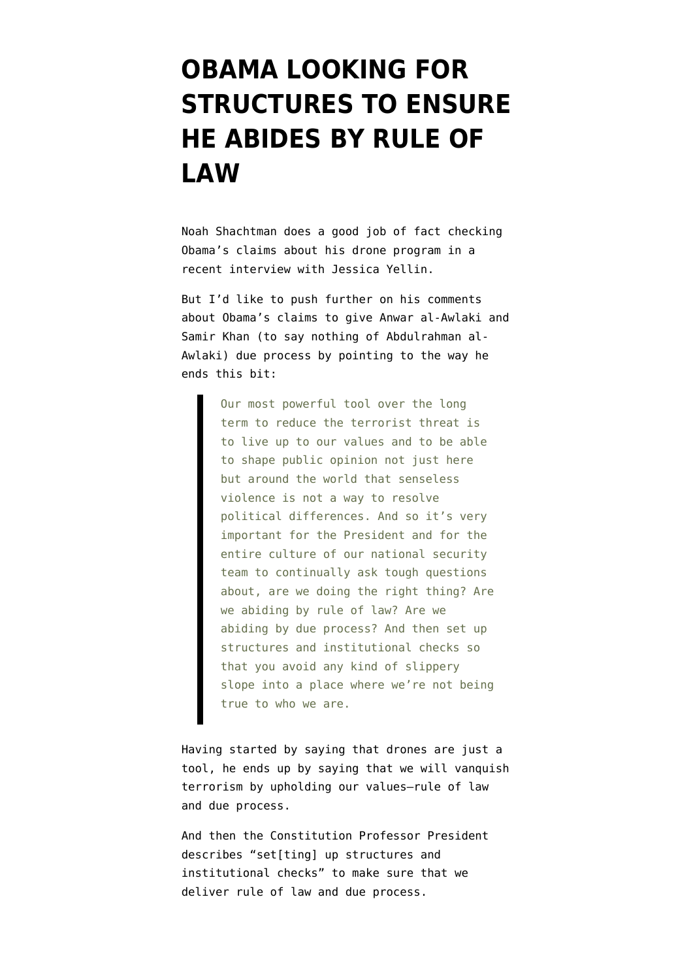## **[OBAMA LOOKING FOR](https://www.emptywheel.net/2012/09/06/obama-looking-for-structures-to-ensure-he-abides-by-rule-of-law/) [STRUCTURES TO ENSURE](https://www.emptywheel.net/2012/09/06/obama-looking-for-structures-to-ensure-he-abides-by-rule-of-law/) [HE ABIDES BY RULE OF](https://www.emptywheel.net/2012/09/06/obama-looking-for-structures-to-ensure-he-abides-by-rule-of-law/) [LAW](https://www.emptywheel.net/2012/09/06/obama-looking-for-structures-to-ensure-he-abides-by-rule-of-law/)**

Noah Shachtman does a [good job](http://www.wired.com/dangerroom/2012/09/obama-drone/) of fact checking Obama's claims about his drone program in a recent interview with Jessica Yellin.

But I'd like to push further on his comments about Obama's claims to give Anwar al-Awlaki and Samir Khan (to say nothing of Abdulrahman al-Awlaki) due process by pointing to the way he ends this bit:

> Our most powerful tool over the long term to reduce the terrorist threat is to live up to our values and to be able to shape public opinion not just here but around the world that senseless violence is not a way to resolve political differences. And so it's very important for the President and for the entire culture of our national security team to continually ask tough questions about, are we doing the right thing? Are we abiding by rule of law? Are we abiding by due process? And then set up structures and institutional checks so that you avoid any kind of slippery slope into a place where we're not being true to who we are.

Having started by saying that drones are just a tool, he ends up by saying that we will vanquish terrorism by upholding our values–rule of law and due process.

And then the Constitution Professor President describes "set[ting] up structures and institutional checks" to make sure that we deliver rule of law and due process.